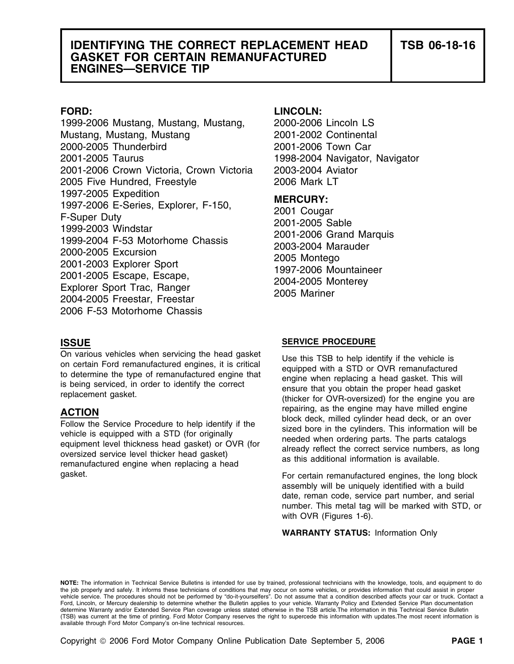### **IDENTIFYING THE CORRECT REPLACEMENT HEAD TSB 06-18-16 GASKET FOR CERTAIN REMANUFACTURED ENGINES—SERVICE TIP**

1999-2006 Mustang, Mustang, Mustang, 2000-2006 Lincoln LS Mustang, Mustang, Mustang 2001-2002 Continental 2000-2005 Thunderbird 2001-2006 Town Car 2001-2005 Taurus 1998-2004 Navigator, Navigator 2001-2006 Crown Victoria, Crown Victoria 2003-2004 Aviator 2005 Five Hundred, Freestyle 2006 Mark LT 1997-2005 Expedition<br>
1997-2006 E-Series, Explorer, F-150,<br>
F-Super Duty<br>
1999-2003 Windstar<br>
1999-2004 F-53 Motorhome Chassis<br>
2001-2005 Sable<br>
2000-2005 Excursion<br>
2001-2006 Grand Marquis<br>
2000-2005 Excursion<br>
2001-2006 2006 F-53 Motorhome Chassis

### **FORD: LINCOLN:**

gasket.

### **ISSUE SERVICE PROCEDURE**

On various vehicles when servicing the head gasket<br>on certain Ford remanufactured engines, it is critical<br>to determine the type of remanufactured engine that<br>is being serviced, in order to identify the correct<br>replacement **ACTION**<br>
Follow the Service Procedure to help identify if the<br>
vehicle is equipped with a STD (for originally<br>
equipment level thickness head gasket) or OVR (for<br>
oversized service level thicker head gasket)<br>
remanufactur

> assembly will be uniquely identified with a build date, reman code, service part number, and serial number. This metal tag will be marked with STD, or with OVR (Figures 1-6).

**WARRANTY STATUS:** Information Only

**NOTE:** The information in Technical Service Bulletins is intended for use by trained, professional technicians with the knowledge, tools, and equipment to do the job properly and safely. It informs these technicians of conditions that may occur on some vehicles, or provides information that could assist in proper<br>vehicle service. The procedures should not be performed by "do-it Ford, Lincoln, or Mercury dealership to determine whether the Bulletin applies to your vehicle. Warranty Policy and Extended Service Plan documentation determine Warranty and/or Extended Service Plan coverage unless stated otherwise in the TSB article.The information in this Technical Service Bulletin (TSB) was current at the time of printing. Ford Motor Company reserves the right to supercede this information with updates.The most recent information is available through Ford Motor Company's on-line technical resources.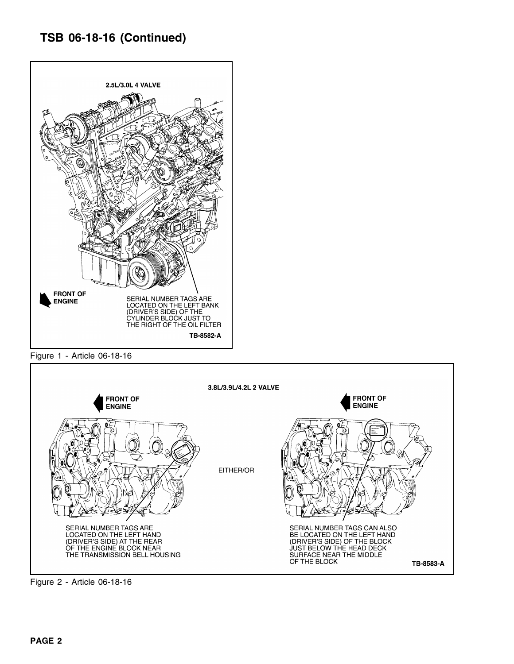## **TSB 06-18-16 (Continued)**



Figure 1 - Article 06-18-16



Figure 2 - Article 06-18-16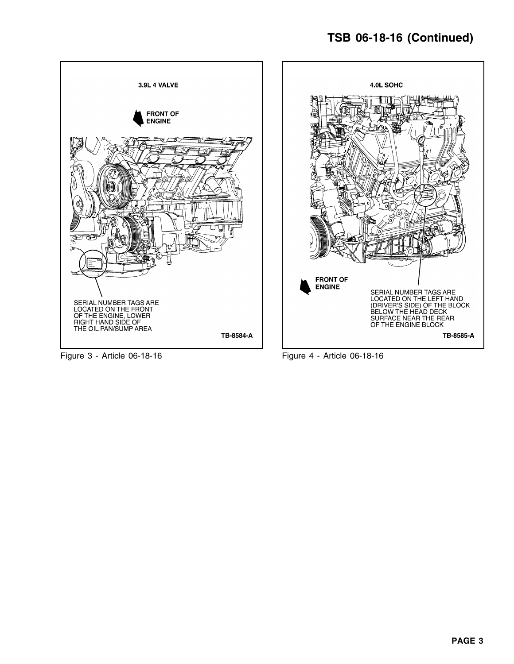# **TSB 06-18-16 (Continued)**



Figure 3 - Article 06-18-16 Figure 4 - Article 06-18-16

TB-8585-A